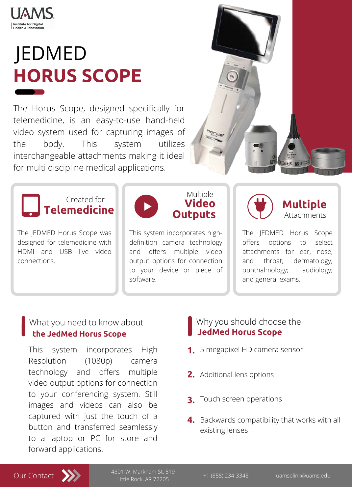

**Institute for Digital Health & Innovation** 

The Horus Scope, designed specifically for telemedicine, is an easy-to-use hand-held video system used for capturing images of the body. This system utilizes interchangeable attachments making it ideal



# for multi discipline medical applications.

This system incorporates High Resolution (1080p) camera technology and offers multiple video output options for connection to your conferencing system. Still images and videos can also be captured with just the touch of a button and transferred seamlessly to a laptop or PC for store and forward applications.

# JEDMED **HORUS SCOPE**



The JEDMED Horus Scope was designed for telemedicine with HDMI and USB live video connections.

This system incorporates highdefinition camera technology and offers multiple video output options for connection to your device or piece of software.

The JEDMED Horus Scope offers options to select attachments for ear, nose, and throat; dermatology; ophthalmology; audiology; and general exams.



What you need to know about

# **the JedMed Horus Scope**



# **JedMed Horus Scope**





+1 (855) 234-3348 uamselink@uams.edu 4301 W. Markham St. 519 Little Rock, AR 72205

- 5 megapixel HD camera sensor **1.**
- **2.** Additional lens options
- **3.** Touch screen operations
- **4.** Backwards compatibility that works with all existing lenses